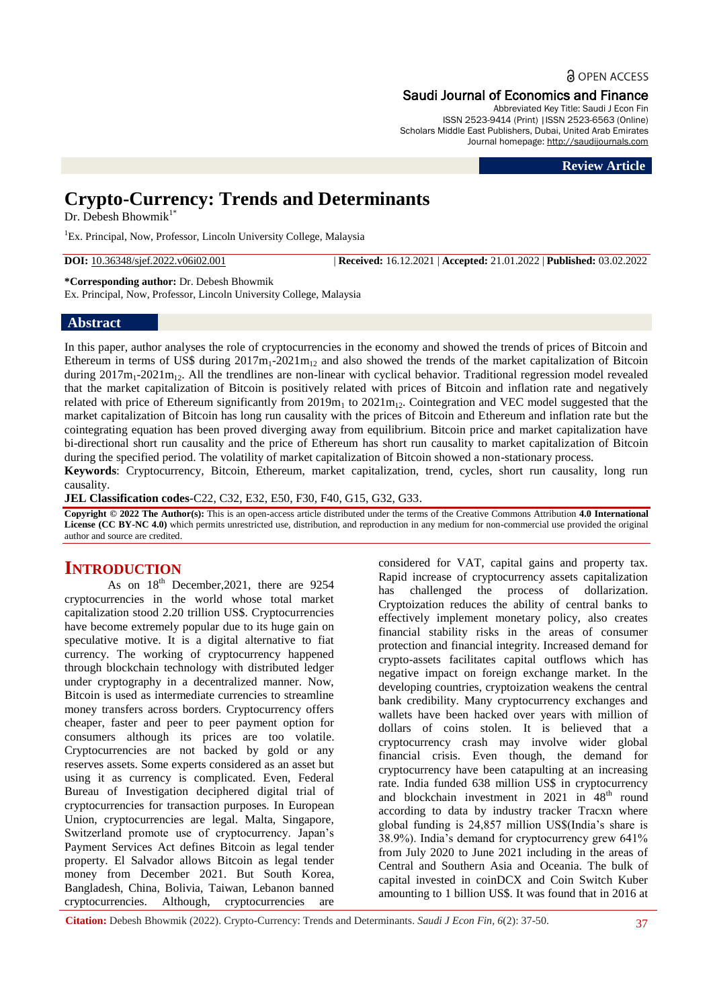**a** OPEN ACCESS

### Saudi Journal of Economics and Finance

Abbreviated Key Title: Saudi J Econ Fin ISSN 2523-9414 (Print) |ISSN 2523-6563 (Online) Scholars Middle East Publishers, Dubai, United Arab Emirates Journal homepage: [http://saudijournals.com](http://saudijournals.com/sjef/)

**Review Article**

# **Crypto-Currency: Trends and Determinants**

Dr. Debesh Bhowmik<sup>1\*</sup>

<sup>1</sup>Ex. Principal, Now, Professor, Lincoln University College, Malaysia

**DOI:** 10.36348/sjef.2022.v06i02.001 | **Received:** 16.12.2021 | **Accepted:** 21.01.2022 | **Published:** 03.02.2022

**\*Corresponding author:** Dr. Debesh Bhowmik Ex. Principal, Now, Professor, Lincoln University College, Malaysia

## **Abstract**

In this paper, author analyses the role of cryptocurrencies in the economy and showed the trends of prices of Bitcoin and Ethereum in terms of US\$ during  $2017m_1-2021m_1$  and also showed the trends of the market capitalization of Bitcoin during  $2017m_1-2021m_{12}$ . All the trendlines are non-linear with cyclical behavior. Traditional regression model revealed that the market capitalization of Bitcoin is positively related with prices of Bitcoin and inflation rate and negatively related with price of Ethereum significantly from  $2019m_1$  to  $2021m_1$ . Cointegration and VEC model suggested that the market capitalization of Bitcoin has long run causality with the prices of Bitcoin and Ethereum and inflation rate but the cointegrating equation has been proved diverging away from equilibrium. Bitcoin price and market capitalization have bi-directional short run causality and the price of Ethereum has short run causality to market capitalization of Bitcoin during the specified period. The volatility of market capitalization of Bitcoin showed a non-stationary process.

**Keywords**: Cryptocurrency, Bitcoin, Ethereum, market capitalization, trend, cycles, short run causality, long run causality.

**JEL Classification codes**-C22, C32, E32, E50, F30, F40, G15, G32, G33.

**Copyright © 2022 The Author(s):** This is an open-access article distributed under the terms of the Creative Commons Attribution **4.0 International**  License (CC BY-NC 4.0) which permits unrestricted use, distribution, and reproduction in any medium for non-commercial use provided the original author and source are credited.

## **INTRODUCTION**

As on  $18^{th}$  December, 2021, there are 9254 cryptocurrencies in the world whose total market capitalization stood 2.20 trillion US\$. Cryptocurrencies have become extremely popular due to its huge gain on speculative motive. It is a digital alternative to fiat currency. The working of cryptocurrency happened through blockchain technology with distributed ledger under cryptography in a decentralized manner. Now, Bitcoin is used as intermediate currencies to streamline money transfers across borders. Cryptocurrency offers cheaper, faster and peer to peer payment option for consumers although its prices are too volatile. Cryptocurrencies are not backed by gold or any reserves assets. Some experts considered as an asset but using it as currency is complicated. Even, Federal Bureau of Investigation deciphered digital trial of cryptocurrencies for transaction purposes. In European Union, cryptocurrencies are legal. Malta, Singapore, Switzerland promote use of cryptocurrency. Japan's Payment Services Act defines Bitcoin as legal tender property. El Salvador allows Bitcoin as legal tender money from December 2021. But South Korea, Bangladesh, China, Bolivia, Taiwan, Lebanon banned cryptocurrencies. Although, cryptocurrencies are

considered for VAT, capital gains and property tax. Rapid increase of cryptocurrency assets capitalization has challenged the process of dollarization. Cryptoization reduces the ability of central banks to effectively implement monetary policy, also creates financial stability risks in the areas of consumer protection and financial integrity. Increased demand for crypto-assets facilitates capital outflows which has negative impact on foreign exchange market. In the developing countries, cryptoization weakens the central bank credibility. Many cryptocurrency exchanges and wallets have been hacked over years with million of dollars of coins stolen. It is believed that a cryptocurrency crash may involve wider global financial crisis. Even though, the demand for cryptocurrency have been catapulting at an increasing rate. India funded 638 million US\$ in cryptocurrency and blockchain investment in 2021 in 48<sup>th</sup> round according to data by industry tracker Tracxn where global funding is 24,857 million US\$(India's share is 38.9%). India's demand for cryptocurrency grew 641% from July 2020 to June 2021 including in the areas of Central and Southern Asia and Oceania. The bulk of capital invested in coinDCX and Coin Switch Kuber amounting to 1 billion US\$. It was found that in 2016 at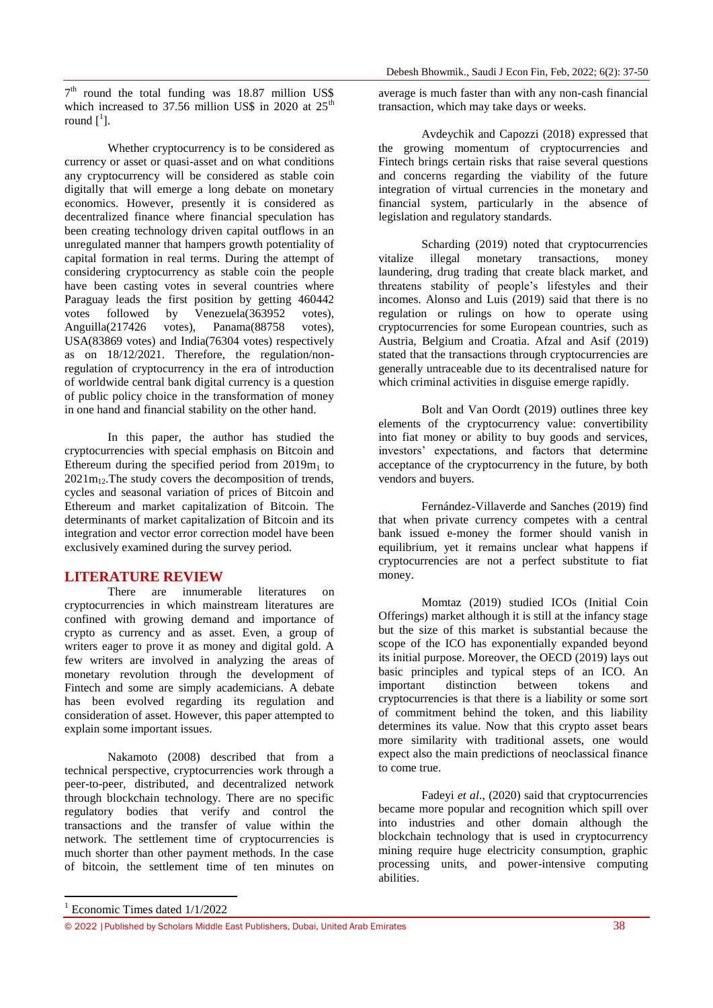7<sup>th</sup> round the total funding was 18.87 million US\$ which increased to 37.56 million US\$ in 2020 at  $25<sup>th</sup>$ round  $\begin{bmatrix} 1 \end{bmatrix}$ .

Whether cryptocurrency is to be considered as currency or asset or quasi-asset and on what conditions any cryptocurrency will be considered as stable coin digitally that will emerge a long debate on monetary economics. However, presently it is considered as decentralized finance where financial speculation has been creating technology driven capital outflows in an unregulated manner that hampers growth potentiality of capital formation in real terms. During the attempt of considering cryptocurrency as stable coin the people have been casting votes in several countries where Paraguay leads the first position by getting 460442 votes followed by Venezuela(363952 votes), Anguilla(217426 votes), Panama(88758 votes), USA(83869 votes) and India(76304 votes) respectively as on 18/12/2021. Therefore, the regulation/nonregulation of cryptocurrency in the era of introduction of worldwide central bank digital currency is a question of public policy choice in the transformation of money in one hand and financial stability on the other hand.

In this paper, the author has studied the cryptocurrencies with special emphasis on Bitcoin and Ethereum during the specified period from  $2019m<sub>1</sub>$  to  $2021m_{12}$ . The study covers the decomposition of trends, cycles and seasonal variation of prices of Bitcoin and Ethereum and market capitalization of Bitcoin. The determinants of market capitalization of Bitcoin and its integration and vector error correction model have been exclusively examined during the survey period.

#### **LITERATURE REVIEW**

There are innumerable literatures on cryptocurrencies in which mainstream literatures are confined with growing demand and importance of crypto as currency and as asset. Even, a group of writers eager to prove it as money and digital gold. A few writers are involved in analyzing the areas of monetary revolution through the development of Fintech and some are simply academicians. A debate has been evolved regarding its regulation and consideration of asset. However, this paper attempted to explain some important issues.

Nakamoto (2008) described that from a technical perspective, cryptocurrencies work through a peer-to-peer, distributed, and decentralized network through blockchain technology. There are no specific regulatory bodies that verify and control the transactions and the transfer of value within the network. The settlement time of cryptocurrencies is much shorter than other payment methods. In the case of bitcoin, the settlement time of ten minutes on

average is much faster than with any non-cash financial transaction, which may take days or weeks.

Avdeychik and Capozzi (2018) expressed that the growing momentum of cryptocurrencies and Fintech brings certain risks that raise several questions and concerns regarding the viability of the future integration of virtual currencies in the monetary and financial system, particularly in the absence of legislation and regulatory standards.

Scharding (2019) noted that cryptocurrencies vitalize illegal monetary transactions, money laundering, drug trading that create black market, and threatens stability of people's lifestyles and their incomes. Alonso and Luis (2019) said that there is no regulation or rulings on how to operate using cryptocurrencies for some European countries, such as Austria, Belgium and Croatia. Afzal and Asif (2019) stated that the transactions through cryptocurrencies are generally untraceable due to its decentralised nature for which criminal activities in disguise emerge rapidly.

Bolt and Van Oordt [\(2019\)](https://link.springer.com/article/10.1007/s40812-019-00138-6#ref-CR14) outlines three key elements of the cryptocurrency value: convertibility into fiat money or ability to buy goods and services, investors' expectations, and factors that determine acceptance of the cryptocurrency in the future, by both vendors and buyers.

Fernández-Villaverde and Sanches [\(2019\)](https://link.springer.com/article/10.1007/s40812-019-00138-6#ref-CR29) find that when private currency competes with a central bank issued e-money the former should vanish in equilibrium, yet it remains unclear what happens if cryptocurrencies are not a perfect substitute to fiat money.

Momtaz (2019) studied ICOs (Initial Coin Offerings) market although it is still at the infancy stage but the size of this market is substantial because the scope of the ICO has exponentially expanded beyond its initial purpose. Moreover, the OECD [\(2019\)](https://link.springer.com/article/10.1007/s40812-019-00138-6#ref-CR52) lays out basic principles and typical steps of an ICO. An important distinction between tokens and cryptocurrencies is that there is a liability or some sort of commitment behind the token, and this liability determines its value. Now that this crypto asset bears more similarity with traditional assets, one would expect also the main predictions of neoclassical finance to come true.

Fadeyi *et al*., (2020) said that cryptocurrencies became more popular and recognition which spill over into industries and other domain although the blockchain technology that is used in cryptocurrency mining require huge electricity consumption, graphic processing units, and power-intensive computing abilities.

1

 $1$  Economic Times dated  $1/1/2022$ 

<sup>© 2022</sup> |Published by Scholars Middle East Publishers, Dubai, United Arab Emirates 38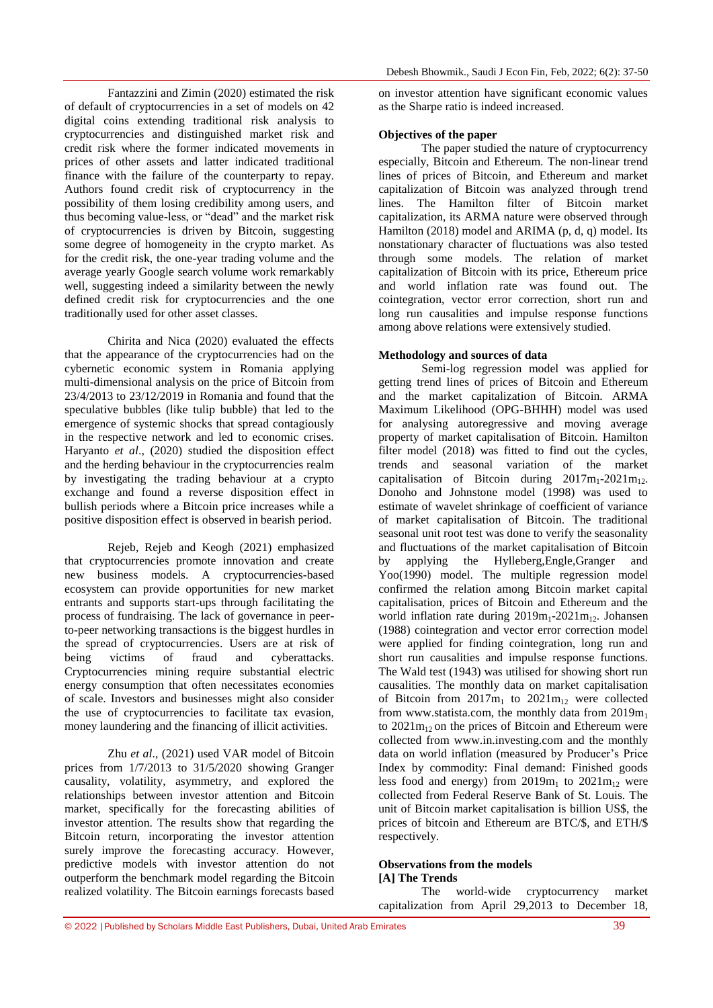Fantazzini and Zimin [\(2020\)](https://link.springer.com/article/10.1007/s40812-019-00138-6#ref-CR27) estimated the risk of default of cryptocurrencies in a set of models on 42 digital coins extending traditional risk analysis to cryptocurrencies and distinguished market risk and credit risk where the former indicated movements in prices of other assets and latter indicated traditional finance with the failure of the counterparty to repay. Authors found credit risk of cryptocurrency in the possibility of them losing credibility among users, and thus becoming value-less, or "dead" and the market risk of cryptocurrencies is driven by Bitcoin, suggesting some degree of homogeneity in the crypto market. As for the credit risk, the one-year trading volume and the average yearly Google search volume work remarkably well, suggesting indeed a similarity between the newly defined credit risk for cryptocurrencies and the one traditionally used for other asset classes.

Chirita and Nica (2020) evaluated the effects that the appearance of the cryptocurrencies had on the cybernetic economic system in Romania applying multi-dimensional analysis on the price of Bitcoin from 23/4/2013 to 23/12/2019 in Romania and found that the speculative bubbles (like tulip bubble) that led to the emergence of systemic shocks that spread contagiously in the respective network and led to economic crises. Haryanto *et al*., (2020) studied the disposition effect and the herding behaviour in the cryptocurrencies realm by investigating the trading behaviour at a crypto exchange and found a reverse disposition effect in bullish periods where a Bitcoin price increases while a positive disposition effect is observed in bearish period.

Rejeb, Rejeb and Keogh (2021) emphasized that cryptocurrencies promote innovation and create new business models. A cryptocurrencies-based ecosystem can provide opportunities for new market entrants and supports start-ups through facilitating the process of fundraising. The lack of governance in peerto-peer networking transactions is the biggest hurdles in the spread of cryptocurrencies. Users are at risk of being victims of fraud and cyberattacks. Cryptocurrencies mining require substantial electric energy consumption that often necessitates economies of scale. Investors and businesses might also consider the use of cryptocurrencies to facilitate tax evasion, money laundering and the financing of illicit activities.

Zhu *et al*., (2021) used VAR model of Bitcoin prices from 1/7/2013 to 31/5/2020 showing Granger causality, volatility, asymmetry, and explored the relationships between investor attention and Bitcoin market, specifically for the forecasting abilities of investor attention. The results show that regarding the Bitcoin return, incorporating the investor attention surely improve the forecasting accuracy. However, predictive models with investor attention do not outperform the benchmark model regarding the Bitcoin realized volatility. The Bitcoin earnings forecasts based

on investor attention have significant economic values as the Sharpe ratio is indeed increased.

#### **Objectives of the paper**

The paper studied the nature of cryptocurrency especially, Bitcoin and Ethereum. The non-linear trend lines of prices of Bitcoin, and Ethereum and market capitalization of Bitcoin was analyzed through trend lines. The Hamilton filter of Bitcoin market capitalization, its ARMA nature were observed through Hamilton (2018) model and ARIMA (p, d, q) model. Its nonstationary character of fluctuations was also tested through some models. The relation of market capitalization of Bitcoin with its price, Ethereum price and world inflation rate was found out. The cointegration, vector error correction, short run and long run causalities and impulse response functions among above relations were extensively studied.

#### **Methodology and sources of data**

Semi-log regression model was applied for getting trend lines of prices of Bitcoin and Ethereum and the market capitalization of Bitcoin. ARMA Maximum Likelihood (OPG-BHHH) model was used for analysing autoregressive and moving average property of market capitalisation of Bitcoin. Hamilton filter model (2018) was fitted to find out the cycles, trends and seasonal variation of the market capitalisation of Bitcoin during  $2017m_1-2021m_{12}$ . Donoho and Johnstone model (1998) was used to estimate of wavelet shrinkage of coefficient of variance of market capitalisation of Bitcoin. The traditional seasonal unit root test was done to verify the seasonality and fluctuations of the market capitalisation of Bitcoin by applying the Hylleberg,Engle,Granger and Yoo(1990) model. The multiple regression model confirmed the relation among Bitcoin market capital capitalisation, prices of Bitcoin and Ethereum and the world inflation rate during  $2019m_1-2021m_{12}$ . Johansen (1988) cointegration and vector error correction model were applied for finding cointegration, long run and short run causalities and impulse response functions. The Wald test (1943) was utilised for showing short run causalities. The monthly data on market capitalisation of Bitcoin from  $2017m_1$  to  $2021m_1$  were collected from www.statista.com, the monthly data from  $2019m_1$ to  $2021m_{12}$  on the prices of Bitcoin and Ethereum were collected from [www.in.investing.com](http://www.in.investing.com/) and the monthly data on world inflation (measured by Producer's Price Index by commodity: Final demand: Finished goods less food and energy) from  $2019m_1$  to  $2021m_{12}$  were collected from Federal Reserve Bank of St. Louis. The unit of Bitcoin market capitalisation is billion US\$, the prices of bitcoin and Ethereum are BTC/\$, and ETH/\$ respectively.

#### **Observations from the models [A] The Trends**

The world-wide cryptocurrency market capitalization from April 29,2013 to December 18,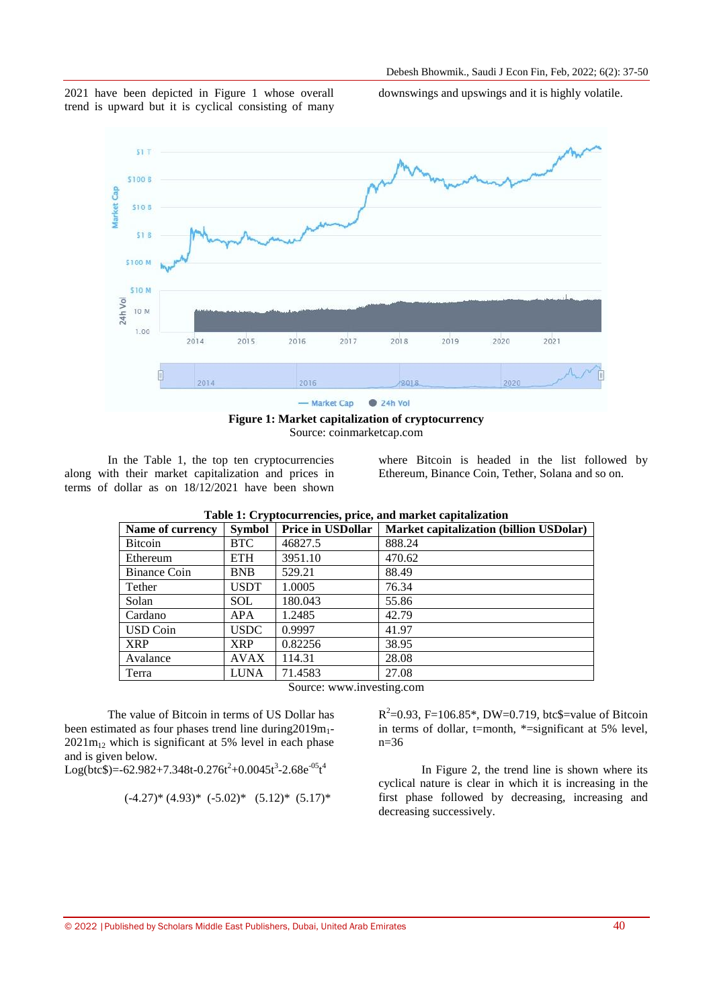

2021 have been depicted in Figure 1 whose overall trend is upward but it is cyclical consisting of many downswings and upswings and it is highly volatile.

**Figure 1: Market capitalization of cryptocurrency** Source: coinmarketcap.com

In the Table 1, the top ten cryptocurrencies along with their market capitalization and prices in terms of dollar as on 18/12/2021 have been shown where Bitcoin is headed in the list followed by Ethereum, Binance Coin, Tether, Solana and so on.

| Name of currency | <b>Symbol</b> | <b>Price in USDollar</b> | <b>Market capitalization (billion USDolar)</b> |
|------------------|---------------|--------------------------|------------------------------------------------|
| <b>Bitcoin</b>   | <b>BTC</b>    | 46827.5                  | 888.24                                         |
| Ethereum         | ETH           | 3951.10                  | 470.62                                         |
| Binance Coin     | <b>BNB</b>    | 529.21                   | 88.49                                          |
| Tether           | <b>USDT</b>   | 1.0005                   | 76.34                                          |
| Solan            | <b>SOL</b>    | 180.043                  | 55.86                                          |
| Cardano          | <b>APA</b>    | 1.2485                   | 42.79                                          |
| <b>USD</b> Coin  | <b>USDC</b>   | 0.9997                   | 41.97                                          |
| <b>XRP</b>       | <b>XRP</b>    | 0.82256                  | 38.95                                          |
| Avalance         | <b>AVAX</b>   | 114.31                   | 28.08                                          |
| Terra            | LUNA          | 71.4583                  | 27.08                                          |

**Table 1: Cryptocurrencies, price, and market capitalization**

Source: www.investing.com

The value of Bitcoin in terms of US Dollar has been estimated as four phases trend line during  $2019m_1$ - $2021m<sub>12</sub>$  which is significant at 5% level in each phase and is given below.

Log(btc\$)=-62.982+7.348t-0.276t<sup>2</sup>+0.0045t<sup>3</sup>-2.68e<sup>-05</sup>t<sup>4</sup>

$$
(-4.27)^*(4.93)^*(-5.02)^*(5.12)^*(5.17)^*
$$

 $R^2$ =0.93, F=106.85\*, DW=0.719, btc\$=value of Bitcoin in terms of dollar, t=month, \*=significant at 5% level,  $n=36$ 

In Figure 2, the trend line is shown where its cyclical nature is clear in which it is increasing in the first phase followed by decreasing, increasing and decreasing successively.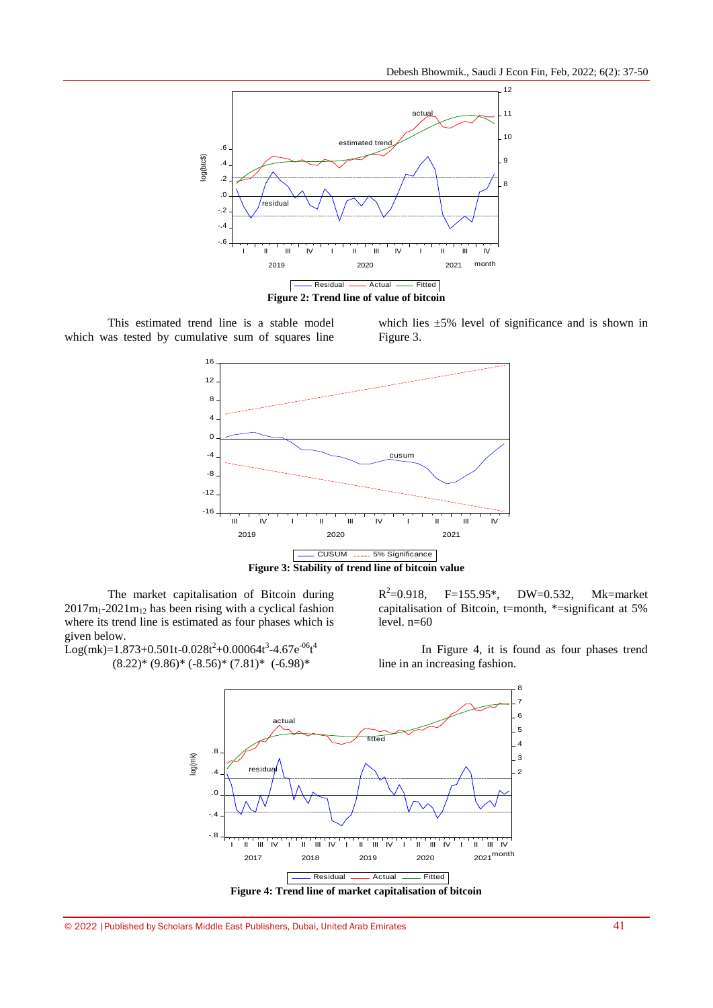

This estimated trend line is a stable model which was tested by cumulative sum of squares line





**Figure 3: Stability of trend line of bitcoin value**

The market capitalisation of Bitcoin during  $2017m_1-2021m_{12}$  has been rising with a cyclical fashion where its trend line is estimated as four phases which is given below.

 $Log(mk)=1.873+0.501t-0.028t^2+0.00064t^3-4.67e^{-06}t^4$  $(8.22)^* (9.86)^* (-8.56)^* (7.81)^* (-6.98)^*$ 

 $R^2$ F=155.95\*, DW=0.532, Mk=market capitalisation of Bitcoin, t=month, \*=significant at 5% level.  $n=60$ 

In Figure 4, it is found as four phases trend line in an increasing fashion.

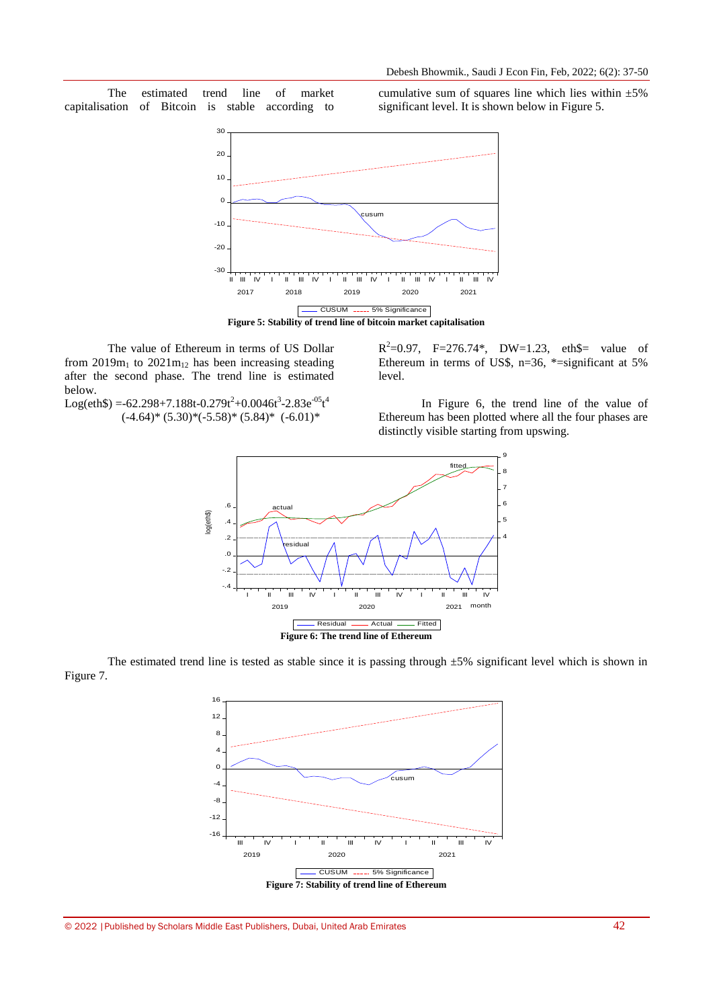The estimated trend line of market capitalisation of Bitcoin is stable according to cumulative sum of squares line which lies within  $\pm 5\%$ significant level. It is shown below in Figure 5.



The value of Ethereum in terms of US Dollar from  $2019m_1$  to  $2021m_{12}$  has been increasing steading after the second phase. The trend line is estimated below.

 $R^2 = 0.97$ , F=276.74\*, DW=1.23, eth\$= value of Ethereum in terms of US\$, n=36, \*=significant at 5% level.

 $Log(eth\$  = -62.298+7.188t-0.279t<sup>2</sup>+0.0046t<sup>3</sup>-2.83e<sup>-05</sup>t<sup>4</sup>  $(-4.64)$ \*  $(5.30)$ \* $(-5.58)$ \*  $(5.84)$ \*  $(-6.01)$ \*

In Figure 6, the trend line of the value of Ethereum has been plotted where all the four phases are distinctly visible starting from upswing.



The estimated trend line is tested as stable since it is passing through  $\pm 5\%$  significant level which is shown in Figure 7.

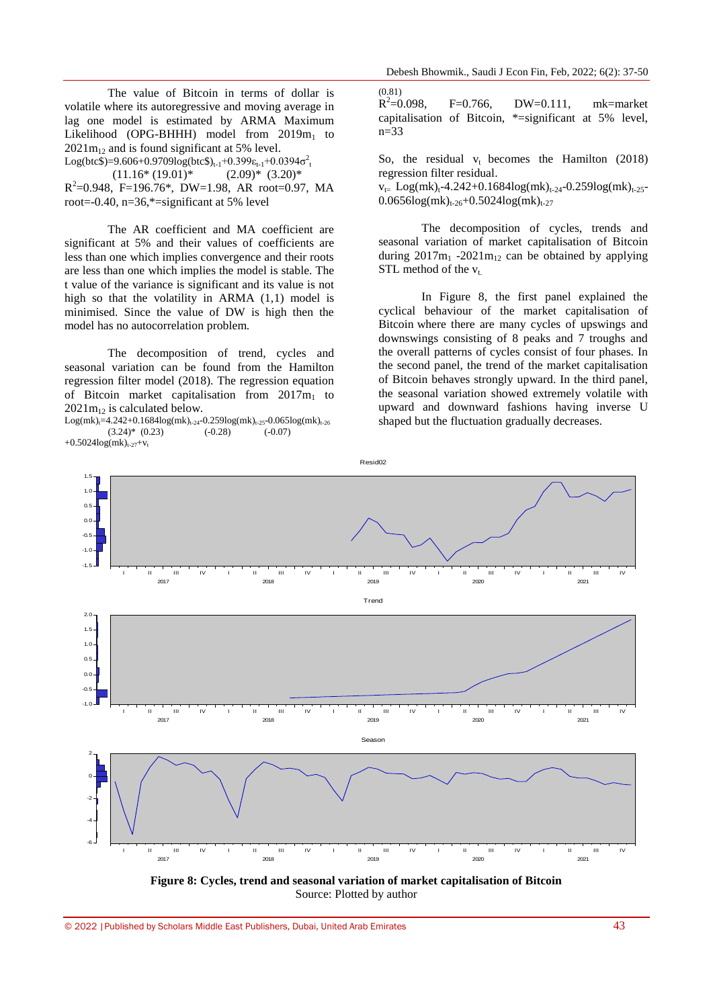The value of Bitcoin in terms of dollar is volatile where its autoregressive and moving average in lag one model is estimated by ARMA Maximum Likelihood (OPG-BHHH) model from  $2019m_1$  to  $2021m_{12}$  and is found significant at 5% level.

Log(btc\$)=9.606+0.9709log(btc\$)<sub>t-1</sub>+0.399 $\varepsilon_{t-1}$ +0.0394 $\sigma_t^2$ 

 $(11.16*(19.01)*$   $(2.09)*(3.20)*$  $R^2$ =0.948, F=196.76\*, DW=1.98, AR root=0.97, MA root= $-0.40$ , n= $36$ , \*=significant at 5% level

The AR coefficient and MA coefficient are significant at 5% and their values of coefficients are less than one which implies convergence and their roots are less than one which implies the model is stable. The t value of the variance is significant and its value is not high so that the volatility in ARMA (1,1) model is minimised. Since the value of DW is high then the model has no autocorrelation problem.

The decomposition of trend, cycles and seasonal variation can be found from the Hamilton regression filter model (2018). The regression equation of Bitcoin market capitalisation from  $2017m_1$  to  $2021m_{12}$  is calculated below.

 $Log(mk)_{t=4.242+0.1684\log(mk)_{t=24-}0.259\log(mk)_{t=25-}0.065\log(mk)_{t=26}$  $(3.24)^*$   $(0.23)$   $(-0.28)$   $(-0.07)$ +0.5024 $log(mk)_{t-27}$ + $v_t$ 

(0.81)  $R^2$ F=0.766, DW=0.111, mk=market capitalisation of Bitcoin, \*=significant at 5% level,  $n=33$ 

So, the residual  $v_t$  becomes the Hamilton (2018) regression filter residual.

 $v_{t=}$  Log(mk)<sub>t</sub>-4.242+0.1684log(mk)<sub>t-24</sub>-0.259log(mk)<sub>t-25</sub>- $0.0656\log(mk)_{t-26} + 0.5024\log(mk)_{t-27}$ 

The decomposition of cycles, trends and seasonal variation of market capitalisation of Bitcoin during  $2017m_1$  -2021 $m_{12}$  can be obtained by applying STL method of the  $v_t$ .

In Figure 8, the first panel explained the cyclical behaviour of the market capitalisation of Bitcoin where there are many cycles of upswings and downswings consisting of 8 peaks and 7 troughs and the overall patterns of cycles consist of four phases. In the second panel, the trend of the market capitalisation of Bitcoin behaves strongly upward. In the third panel, the seasonal variation showed extremely volatile with upward and downward fashions having inverse U shaped but the fluctuation gradually decreases.



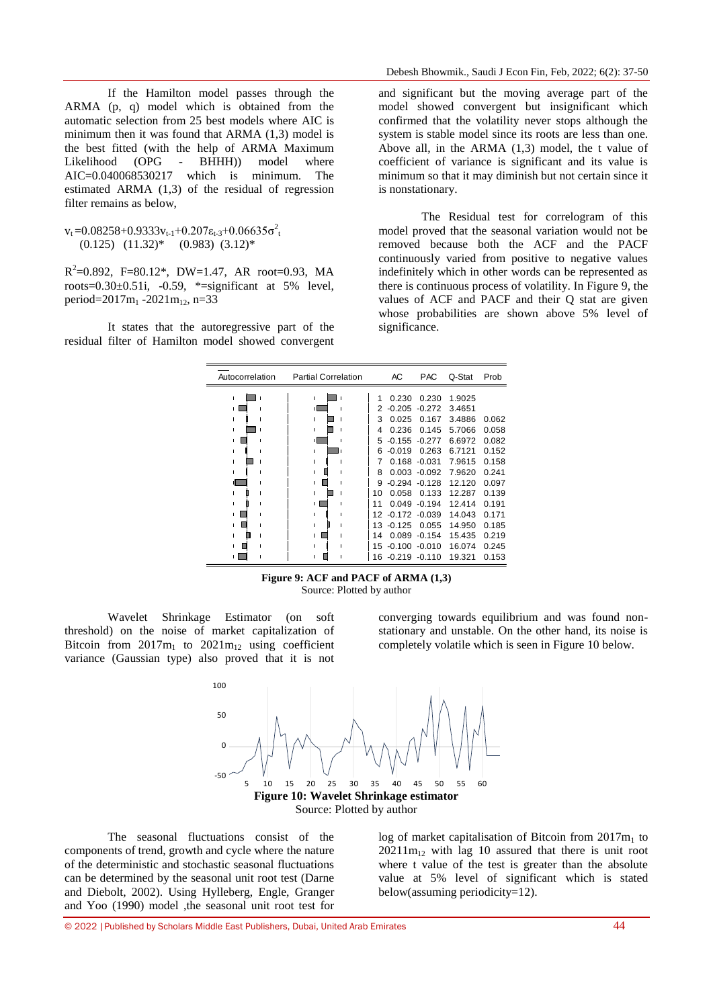If the Hamilton model passes through the ARMA (p, q) model which is obtained from the automatic selection from 25 best models where AIC is minimum then it was found that ARMA (1,3) model is the best fitted (with the help of ARMA Maximum Likelihood (OPG - BHHH)) model where AIC=0.040068530217 which is minimum. The estimated ARMA (1,3) of the residual of regression filter remains as below,

 $v_t = 0.08258 + 0.9333v_{t-1} + 0.207\epsilon_{t-3} + 0.06635\sigma_t^2$  $(0.125)$   $(11.32)^*$   $(0.983)$   $(3.12)^*$ 

 $R^2=0.892$ , F=80.12\*, DW=1.47, AR root=0.93, MA roots= $0.30\pm0.51$ i,  $-0.59$ ,  $*$ =significant at 5% level, period= $2017m_1 - 2021m_{12}$ , n=33

It states that the autoregressive part of the residual filter of Hamilton model showed convergent Induct showcu conve

and significant but the moving average part of the model showed convergent but insignificant which confirmed that the volatility never stops although the system is stable model since its roots are less than one. Above all, in the ARMA (1,3) model, the t value of coefficient of variance is significant and its value is minimum so that it may diminish but not certain since it is nonstationary.

The Residual test for correlogram of this model proved that the seasonal variation would not be removed because both the ACF and the PACF continuously varied from positive to negative values indefinitely which in other words can be represented as there is continuous process of volatility. In Figure 9, the values of ACF and PACF and their Q stat are given whose probabilities are shown above 5% level of significance.

| Autocorrelation | <b>Partial Correlation</b> |   |  |    | АC               | PAC.             | Q-Stat | Prob  |
|-----------------|----------------------------|---|--|----|------------------|------------------|--------|-------|
| п               |                            | п |  | 1  | 0.230            | 0.230            | 1.9025 |       |
|                 |                            |   |  | 2  | $-0.205$         | $-0.272$         | 3.4651 |       |
|                 |                            |   |  | 3  | 0.025            | 0.167            | 3.4886 | 0.062 |
|                 |                            |   |  | 4  | 0.236            | 0.145            | 5.7066 | 0.058 |
|                 |                            |   |  | 5. | $-0.155$         | $-0.277$         | 6.6972 | 0.082 |
|                 |                            |   |  | 6  | $-0.019$         | 0.263            | 6.7121 | 0.152 |
|                 |                            |   |  | 7  |                  | $0.168 - 0.031$  | 7.9615 | 0.158 |
|                 |                            |   |  | 8  |                  | $0.003 - 0.092$  | 7.9620 | 0.241 |
|                 |                            |   |  | я  |                  | $-0.294 - 0.128$ | 12.120 | 0.097 |
|                 |                            |   |  | 10 | 0.058            | 0.133            | 12.287 | 0.139 |
|                 |                            |   |  | 11 |                  | $0.049 - 0.194$  | 12.414 | 0.191 |
|                 |                            |   |  |    | 12 -0.172 -0.039 |                  | 14.043 | 0.171 |
|                 |                            |   |  |    | 13 -0.125        | 0.055            | 14.950 | 0.185 |
|                 |                            |   |  | 14 | 0.089            | $-0.154$         | 15.435 | 0.219 |
|                 |                            |   |  |    | 15 -0.100 -0.010 |                  | 16.074 | 0.245 |
|                 |                            |   |  | 16 | $-0.219 - 0.110$ |                  | 19.321 | 0.153 |

**Figure 9: ACF and PACF of ARMA (1,3)** Source: Plotted by author

Wavelet Shrinkage Estimator (on soft threshold) on the noise of market capitalization of Bitcoin from  $2017m_1$  to  $2021m_{12}$  using coefficient variance (Gaussian type) also proved that it is not

converging towards equilibrium and was found nonstationary and unstable. On the other hand, its noise is completely volatile which is seen in Figure 10 below.



The seasonal fluctuations consist of the components of trend, growth and cycle where the nature of the deterministic and stochastic seasonal fluctuations can be determined by the seasonal unit root test (Darne and Diebolt, 2002). Using Hylleberg, Engle, Granger and Yoo (1990) model ,the seasonal unit root test for

log of market capitalisation of Bitcoin from  $2017m<sub>1</sub>$  to  $20211m_{12}$  with lag 10 assured that there is unit root where t value of the test is greater than the absolute value at 5% level of significant which is stated below(assuming periodicity=12).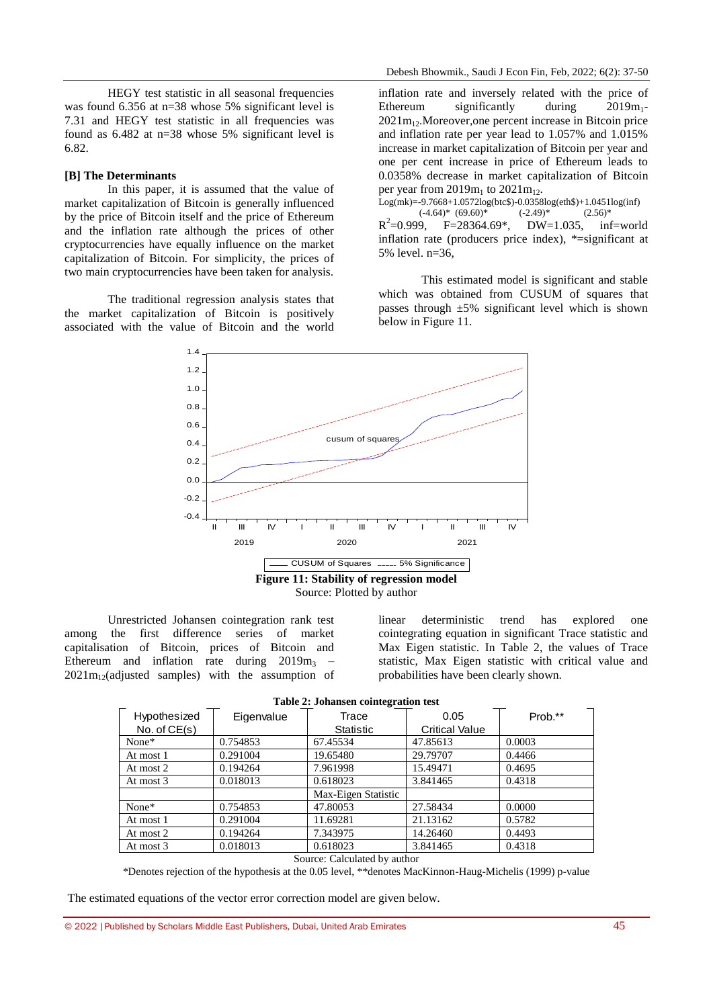HEGY test statistic in all seasonal frequencies was found 6.356 at n=38 whose 5% significant level is 7.31 and HEGY test statistic in all frequencies was found as 6.482 at n=38 whose 5% significant level is 6.82.

#### **[B] The Determinants**

In this paper, it is assumed that the value of market capitalization of Bitcoin is generally influenced by the price of Bitcoin itself and the price of Ethereum and the inflation rate although the prices of other cryptocurrencies have equally influence on the market capitalization of Bitcoin. For simplicity, the prices of two main cryptocurrencies have been taken for analysis.

The traditional regression analysis states that the market capitalization of Bitcoin is positively associated with the value of Bitcoin and the world

inflation rate and inversely related with the price of Ethereum significantly during  $2019m_1$ - $2021m<sub>12</sub>$ . Moreover, one percent increase in Bitcoin price and inflation rate per year lead to 1.057% and 1.015% increase in market capitalization of Bitcoin per year and one per cent increase in price of Ethereum leads to 0.0358% decrease in market capitalization of Bitcoin per year from  $2019m_1$  to  $2021m_{12}$ .

Log(mk)=-9.7668+1.0572log(btc\$)-0.0358log(eth\$)+1.0451log(inf)<br>  $(-4.64)^*$  (69.60)\*  $(-2.49)^*$  (2.56)\*  $(-4.64)$ \*  $(69.60)$ \*  $R^2 = 0.999$ , F=28364.69\*, DW=1.035, inf=world inflation rate (producers price index), \*=significant at 5% level. n=36,

This estimated model is significant and stable which was obtained from CUSUM of squares that passes through ±5% significant level which is shown below in Figure 11.



Unrestricted Johansen cointegration rank test among the first difference series of market capitalisation of Bitcoin, prices of Bitcoin and Ethereum and inflation rate during  $2019m_3$  –  $2021m<sub>12</sub>(adjusted samples) with the assumption of$  linear deterministic trend has explored one cointegrating equation in significant Trace statistic and Max Eigen statistic. In Table 2, the values of Trace statistic, Max Eigen statistic with critical value and probabilities have been clearly shown.

None\* 10.754853 67.45534 47.85613 10.0003 At most 1 0.291004 19.65480 29.79707 0.4466 At most 2  $\begin{array}{|l|l|l|l|l|} \hline 0.194264 & 7.961998 & 15.49471 & 0.4695 \hline \end{array}$ At most 3 0.018013 0.618023 3.841465 0.4318 Max-Eigen Statistic None\* 10.754853 47.80053 27.58434 0.0000 At most 1 0.291004 11.69281 21.13162 0.5782 At most 2 0.194264 7.343975 14.26460 0.4493 At most 3 0.018013 0.618023 3.841465 0.4318 Hypothesized Hypothesized Eigenvalue Trace<br>No. of CE(s) Statisti **Statistic** 0.05 0.05 Prob.\*\*<br>Critical Value

**Table 2: Johansen cointegration test**

Source: Calculated by author

\*Denotes rejection of the hypothesis at the 0.05 level, \*\*denotes MacKinnon-Haug-Michelis (1999) p-value

The estimated equations of the vector error correction model are given below.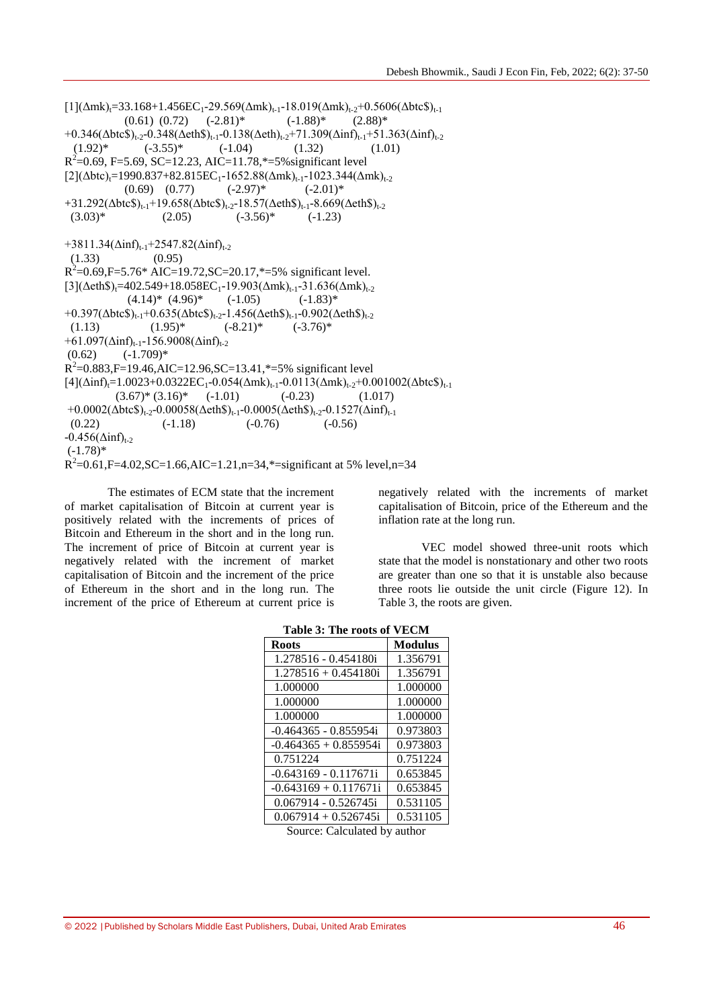$[1](\Delta m k) = 33.168 + 1.456EC_1 - 29.569(\Delta m k)_{t-1} - 18.019(\Delta m k)_{t-2} + 0.5606(\Delta b t c \text{S})_{t-1}$  $(0.61)$   $(0.72)$   $(-2.81)^*$   $(-1.88)^*$   $(2.88)^*$ +0.346( $\Delta$ btc $\oint_{t-2}$ -0.348( $\Delta$ eth $\oint_{t-1}$ -0.138( $\Delta$ eth)<sub>t-2</sub>+71.309( $\Delta$ inf)<sub>t-1</sub>+51.363( $\Delta$ inf)<sub>t-2</sub>  $(1.92)^*$   $(-3.55)^*$   $(-1.04)$   $(1.32)$   $(1.01)$  $R^2$ =0.69, F=5.69, SC=12.23, AIC=11.78,\*=5% significant level  $[2](\Delta \text{btc})_{t}=1990.837+82.815EC_1-1652.88(\Delta m k)_{t-1}-1023.344(\Delta m k)_{t-2}$ <br>(0.69) (0.77)  $(-2.97)^{*}$   $(-2.01)^{*}$  $(0.69)$   $(0.77)$   $(-2.97)*$  $+31.292(\Delta btc\$\)_{t-1}+19.658(\Delta btc\$\)_{t-2}-18.57(\Delta eth\$\)_{t-1}-8.669(\Delta eth\$\)_{t-2}$ <br>(3.03)\* (2.05) (-3.56)\* (-1.23)  $(3.03)^*$   $(2.05)$   $(-3.56)^*$   $(-1.23)$  $+3811.34(\Delta \text{inf})_{t=1}+2547.82(\Delta \text{inf})_{t=2}$  $(1.33)$   $(0.95)$  $R^2$ =0.69,F=5.76\* AIC=19.72,SC=20.17,\*=5% significant level.  $[3](\Delta ethS)_t=402.549+18.058EC_1-19.903(\Delta m k)_{t-1}-31.636(\Delta m k)_{t-2}$  $(4.14)^*$   $(4.96)^*$   $(-1.05)$   $(-1.83)^*$  $+0.397(\Delta \text{btc}\text{\$})_{t-1}+0.635(\Delta \text{btc}\text{\$})_{t-2}-1.456(\Delta \text{eth}\text{\$})_{t-1}-0.902(\Delta \text{eth}\text{\$})_{t-2}$  $(1.13)$   $(1.95)^*$   $(-8.21)^*$   $(-3.76)^*$  $+61.097(\Delta \text{inf})_{t-1}$ -156.9008( $\Delta \text{inf}$ )<sub>t-2</sub>  $(0.62)$   $(-1.709)^*$  $R^2$ =0.883,F=19.46,AIC=12.96,SC=13.41,\*=5% significant level  $[4](\Delta \text{inf})_{t=1}$ .0023+0.0322EC<sub>1</sub>-0.054( $\Delta$ mk)<sub>t-1</sub>-0.0113( $\Delta$ mk)<sub>t-2</sub>+0.001002( $\Delta$ btc\$)<sub>t-1</sub>  $(3.67)^{*}(3.16)^{*}$  (-1.01) (-0.23) (1.017) +0.0002( $\Delta$ btc $\hat{\mathcal{S}}$ )<sub>t-2</sub>-0.00058( $\Delta$ eth $\hat{\mathcal{S}}$ )<sub>t-1</sub>-0.0005( $\Delta$ eth $\hat{\mathcal{S}}$ )<sub>t-2</sub>-0.1527( $\Delta$ inf)<sub>t-1</sub>  $(0.22)$   $(-1.18)$   $(-0.76)$   $(-0.56)$  $-0.456(\Delta \text{inf})_{t-2}$  $(-1.78)$ \*  $R^2$ =0.61,F=4.02,SC=1.66,AIC=1.21,n=34,\*=significant at 5% level,n=34

The estimates of ECM state that the increment of market capitalisation of Bitcoin at current year is positively related with the increments of prices of Bitcoin and Ethereum in the short and in the long run. The increment of price of Bitcoin at current year is negatively related with the increment of market capitalisation of Bitcoin and the increment of the price of Ethereum in the short and in the long run. The increment of the price of Ethereum at current price is negatively related with the increments of market capitalisation of Bitcoin, price of the Ethereum and the inflation rate at the long run.

VEC model showed three-unit roots which state that the model is nonstationary and other two roots are greater than one so that it is unstable also because three roots lie outside the unit circle (Figure 12). In Table 3, the roots are given.

| Table 3: The roots of VECM |  |
|----------------------------|--|
|----------------------------|--|

| <b>Roots</b>                | <b>Modulus</b> |  |  |  |
|-----------------------------|----------------|--|--|--|
| 1.278516 - 0.454180i        | 1.356791       |  |  |  |
| $1.278516 + 0.454180$ i     | 1.356791       |  |  |  |
| 1.000000                    | 1.000000       |  |  |  |
| 1.000000                    | 1.000000       |  |  |  |
| 1.000000                    | 1.000000       |  |  |  |
| $-0.464365 - 0.855954i$     | 0.973803       |  |  |  |
| $-0.464365 + 0.855954i$     | 0.973803       |  |  |  |
| 0.751224                    | 0.751224       |  |  |  |
| $-0.643169 - 0.117671i$     | 0.653845       |  |  |  |
| $-0.643169 + 0.117671i$     | 0.653845       |  |  |  |
| $0.067914 - 0.526745i$      | 0.531105       |  |  |  |
| $0.067914 + 0.526745i$      | 0.531105       |  |  |  |
| Course Coloulated by outhor |                |  |  |  |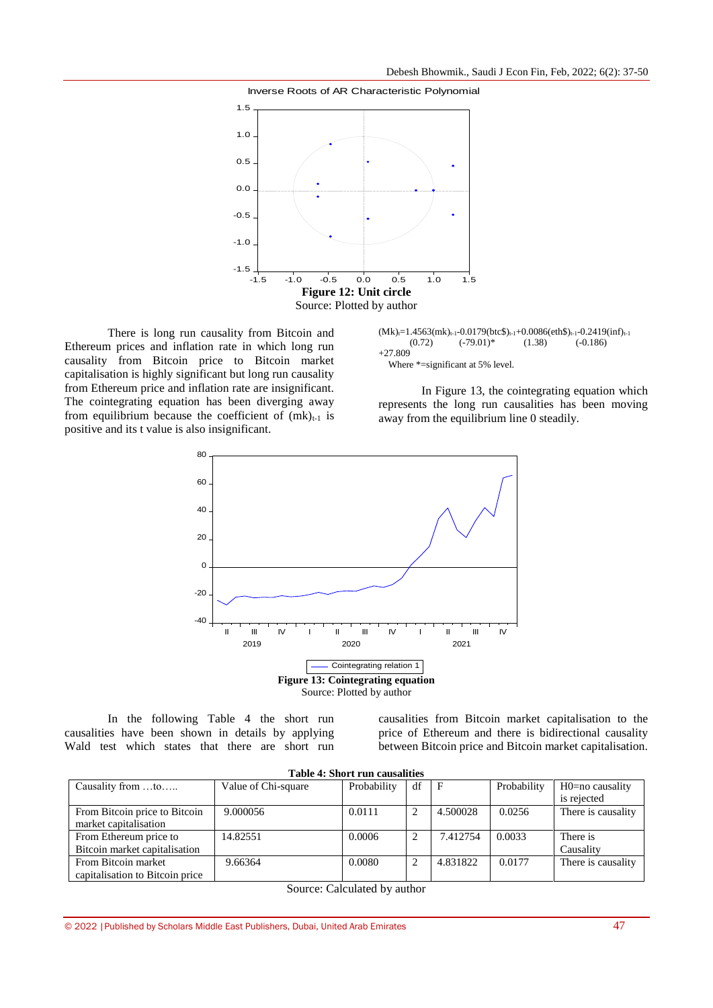

There is long run causality from Bitcoin and Ethereum prices and inflation rate in which long run causality from Bitcoin price to Bitcoin market capitalisation is highly significant but long run causality from Ethereum price and inflation rate are insignificant. The cointegrating equation has been diverging away from equilibrium because the coefficient of  $(mk)_{t-1}$  is positive and its t value is also insignificant.

 $(Mk)_{t=1}$ .4563(mk)<sub>t-1</sub>-0.0179(btc\$)<sub>t-1</sub>+0.0086(eth\$)<sub>t-1</sub>-0.2419(inf)<sub>t-1</sub> (0.72) (-79.01)\* (1.38) (-0.186)  $(-79.01)$ \* +27.809 Where \*=significant at 5% level.

In Figure 13, the cointegrating equation which represents the long run causalities has been moving away from the equilibrium line 0 steadily.



In the following Table 4 the short run causalities have been shown in details by applying Wald test which states that there are short run

causalities from Bitcoin market capitalisation to the price of Ethereum and there is bidirectional causality between Bitcoin price and Bitcoin market capitalisation.

| <b>Table 4: Short run causalities</b> |                     |             |                   |          |             |                    |  |  |
|---------------------------------------|---------------------|-------------|-------------------|----------|-------------|--------------------|--|--|
| Causality from to                     | Value of Chi-square | Probability | df<br>$\mathbf F$ |          | Probability | H0=no causality    |  |  |
|                                       |                     |             |                   |          |             | is rejected        |  |  |
| From Bitcoin price to Bitcoin         | 9.000056            | 0.0111      |                   | 4.500028 | 0.0256      | There is causality |  |  |
| market capitalisation                 |                     |             |                   |          |             |                    |  |  |
| From Ethereum price to                | 14.82551            | 0.0006      |                   | 7.412754 | 0.0033      | There is           |  |  |
| Bitcoin market capitalisation         |                     |             |                   |          |             | Causality          |  |  |
| From Bitcoin market                   | 9.66364             | 0.0080      |                   | 4.831822 | 0.0177      | There is causality |  |  |
| capitalisation to Bitcoin price       |                     |             |                   |          |             |                    |  |  |

Source: Calculated by author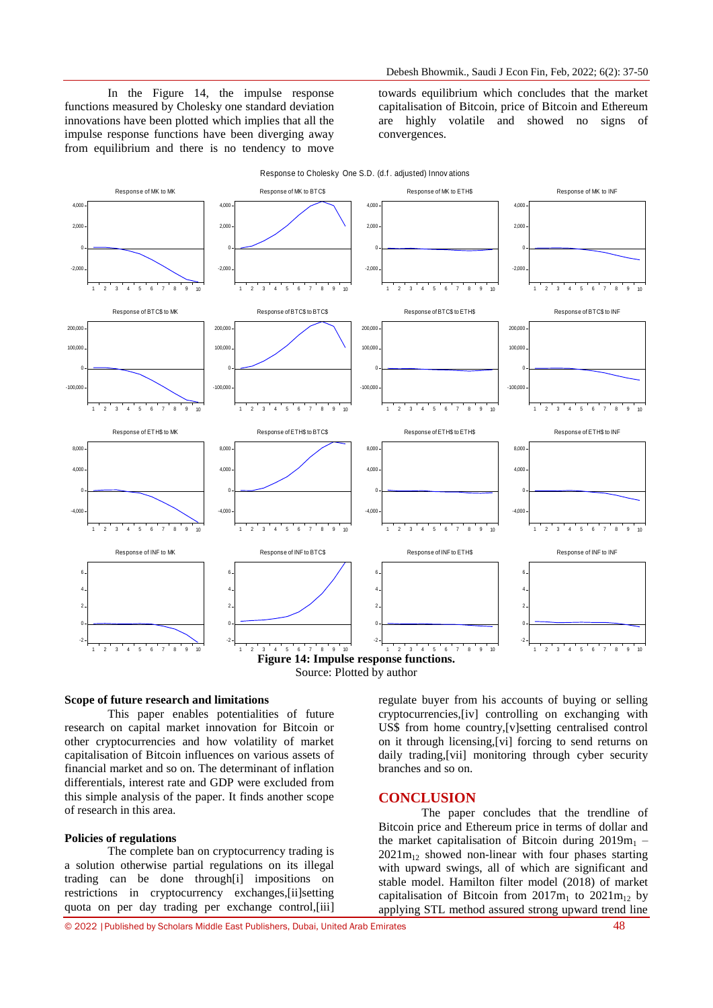In the Figure 14, the impulse response functions measured by Cholesky one standard deviation innovations have been plotted which implies that all the impulse response functions have been diverging away from equilibrium and there is no tendency to move

towards equilibrium which concludes that the market capitalisation of Bitcoin, price of Bitcoin and Ethereum are highly volatile and showed no signs of convergences.





#### **Scope of future research and limitations**

This paper enables potentialities of future research on capital market innovation for Bitcoin or other cryptocurrencies and how volatility of market capitalisation of Bitcoin influences on various assets of financial market and so on. The determinant of inflation differentials, interest rate and GDP were excluded from this simple analysis of the paper. It finds another scope of research in this area.

#### **Policies of regulations**

The complete ban on cryptocurrency trading is a solution otherwise partial regulations on its illegal trading can be done through[i] impositions on restrictions in cryptocurrency exchanges,[ii]setting quota on per day trading per exchange control,[iii]

regulate buyer from his accounts of buying or selling cryptocurrencies,[iv] controlling on exchanging with US\$ from home country,[v]setting centralised control on it through licensing,[vi] forcing to send returns on daily trading,[vii] monitoring through cyber security branches and so on.

#### **CONCLUSION**

The paper concludes that the trendline of Bitcoin price and Ethereum price in terms of dollar and the market capitalisation of Bitcoin during  $2019m_1$  –  $2021m<sub>12</sub>$  showed non-linear with four phases starting with upward swings, all of which are significant and stable model. Hamilton filter model (2018) of market capitalisation of Bitcoin from  $2017m_1$  to  $2021m_{12}$  by applying STL method assured strong upward trend line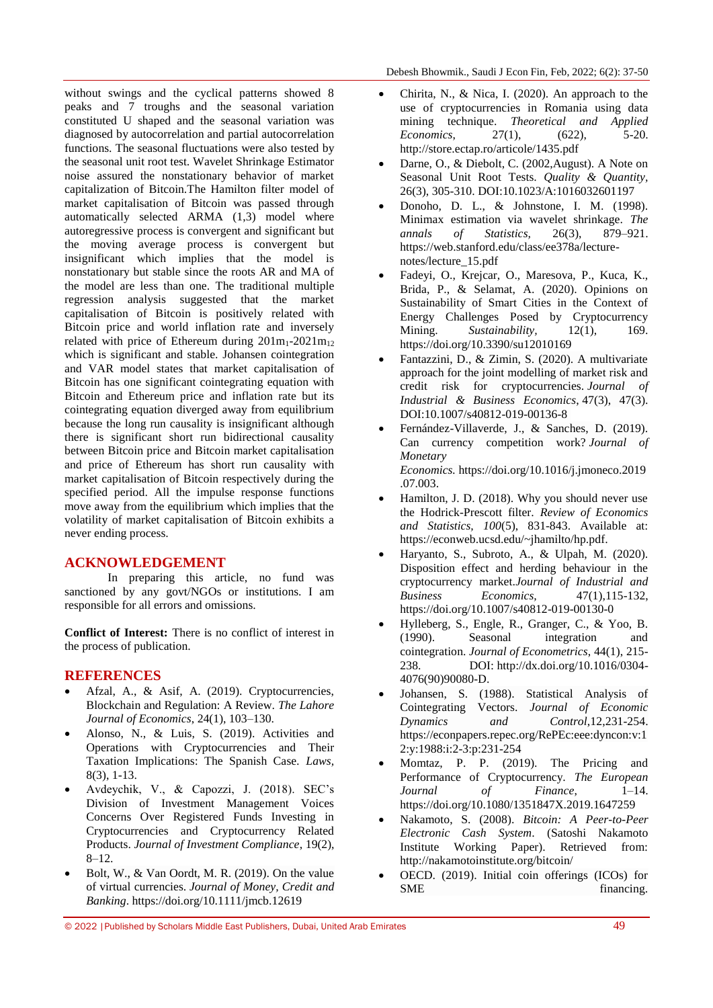without swings and the cyclical patterns showed 8 peaks and 7 troughs and the seasonal variation constituted U shaped and the seasonal variation was diagnosed by autocorrelation and partial autocorrelation functions. The seasonal fluctuations were also tested by the seasonal unit root test. Wavelet Shrinkage Estimator noise assured the nonstationary behavior of market capitalization of Bitcoin.The Hamilton filter model of market capitalisation of Bitcoin was passed through automatically selected ARMA (1,3) model where autoregressive process is convergent and significant but the moving average process is convergent but insignificant which implies that the model is nonstationary but stable since the roots AR and MA of the model are less than one. The traditional multiple regression analysis suggested that the market capitalisation of Bitcoin is positively related with Bitcoin price and world inflation rate and inversely related with price of Ethereum during  $201m_1-2021m_{12}$ which is significant and stable. Johansen cointegration and VAR model states that market capitalisation of Bitcoin has one significant cointegrating equation with Bitcoin and Ethereum price and inflation rate but its cointegrating equation diverged away from equilibrium because the long run causality is insignificant although there is significant short run bidirectional causality between Bitcoin price and Bitcoin market capitalisation and price of Ethereum has short run causality with market capitalisation of Bitcoin respectively during the specified period. All the impulse response functions move away from the equilibrium which implies that the volatility of market capitalisation of Bitcoin exhibits a never ending process.

## **ACKNOWLEDGEMENT**

In preparing this article, no fund was sanctioned by any govt/NGOs or institutions. I am responsible for all errors and omissions.

**Conflict of Interest:** There is no conflict of interest in the process of publication.

## **REFERENCES**

- Afzal, A., & Asif, A. (2019). Cryptocurrencies, Blockchain and Regulation: A Review. *The Lahore Journal of Economics*, 24(1), 103–130.
- Alonso, N., & Luis, S. (2019). Activities and Operations with Cryptocurrencies and Their Taxation Implications: The Spanish Case*. Laws,* 8(3), 1-13.
- Avdeychik, V., & Capozzi, J. (2018). SEC's Division of Investment Management Voices Concerns Over Registered Funds Investing in Cryptocurrencies and Cryptocurrency Related Products. *Journal of Investment Compliance*, 19(2), 8–12.
- Bolt, W., & Van Oordt, M. R. (2019). On the value of virtual currencies. *Journal of Money, Credit and Banking*. <https://doi.org/10.1111/jmcb.12619>
- Chirita, N., & Nica, I. (2020). An approach to the use of cryptocurrencies in Romania using data mining technique. *Theoretical and Applied Economics*, 27(1), (622), 5-20. <http://store.ectap.ro/articole/1435.pdf>
- Darne, O., & Diebolt, C. (2002,August). A Note on Seasonal Unit Root Tests. *Quality & Quantity,*  26(3), 305-310. DO[I:10.1023/A:1016032601197](http://dx.doi.org/10.1023/A:1016032601197)
- Donoho, D. L., & Johnstone, I. M. (1998). Minimax estimation via wavelet shrinkage. *The annals of Statistics,* 26(3), 879–921. https://web.stanford.edu/class/ee378a/lecturenotes/lecture\_15.pdf
- Fadeyi, O., Krejcar, O., Maresova, P., Kuca, K., Brida, P., & Selamat, A. (2020). Opinions on Sustainability of Smart Cities in the Context of Energy Challenges Posed by Cryptocurrency Mining. *Sustainability*, 12(1), 169. https://doi.org/10.3390/su12010169
- Fantazzini, D., & Zimin, S. (2020). A multivariate approach for the joint modelling of market risk and credit risk for cryptocurrencies. *Journal of Industrial & Business Economics*, 47(3), 47(3). DOI:10.1007/s40812-019-00136-8
- Fernández-Villaverde, J., & Sanches, D. (2019). Can currency competition work? *Journal of Monetary Economics.* [https://doi.org/10.1016/j.jmoneco.2019](https://doi.org/10.1016/j.jmoneco.2019.07.003) [.07.003.](https://doi.org/10.1016/j.jmoneco.2019.07.003)
- Hamilton, J. D. (2018). Why you should never use the Hodrick-Prescott filter. *Review of Economics and Statistics, 100*(5), 831-843. Available at: [https://econweb.ucsd.edu/~jhamilto/hp.pdf.](https://econweb.ucsd.edu/~jhamilto/hp.pdf)
- Haryanto, S., Subroto, A., & Ulpah, M. (2020). Disposition effect and herding behaviour in the cryptocurrency market.*Journal of Industrial and Business Economics,* 47(1),115-132, <https://doi.org/10.1007/s40812-019-00130-0>
- Hylleberg, S., Engle, R., Granger, C., & Yoo, B. (1990). Seasonal integration and cointegration. *Journal of Econometrics*, 44(1), 215- 238. DOI: [http://dx.doi.org/10.1016/0304-](http://dx.doi.org/10.1016/0304-4076(90)90080-D) [4076\(90\)90080-D.](http://dx.doi.org/10.1016/0304-4076(90)90080-D)
- Johansen, S. (1988). Statistical Analysis of Cointegrating Vectors. *Journal of Economic Dynamics and Control*,12,231-254. https://econpapers.repec.org/RePEc:eee:dyncon:v:1 2:y:1988:i:2-3:p:231-254
- Momtaz, P. P. (2019). The Pricing and Performance of Cryptocurrency. *The European Journal of Finance*, 1–14. <https://doi.org/10.1080/1351847X.2019.1647259>
- Nakamoto, S. (2008). *Bitcoin: A Peer-to-Peer Electronic Cash System*. (Satoshi Nakamoto Institute Working Paper). Retrieved from: <http://nakamotoinstitute.org/bitcoin/>
- OECD. (2019). Initial coin offerings (ICOs) for SME financing.

<sup>© 2022</sup> |Published by Scholars Middle East Publishers, Dubai, United Arab Emirates 49